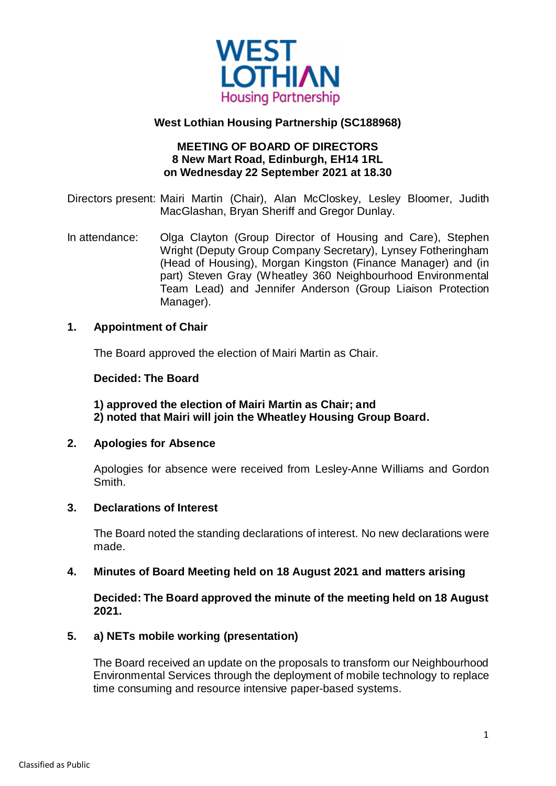

## **West Lothian Housing Partnership (SC188968)**

### **MEETING OF BOARD OF DIRECTORS 8 New Mart Road, Edinburgh, EH14 1RL on Wednesday 22 September 2021 at 18.30**

Directors present: Mairi Martin (Chair), Alan McCloskey, Lesley Bloomer, Judith MacGlashan, Bryan Sheriff and Gregor Dunlay.

In attendance: Olga Clayton (Group Director of Housing and Care), Stephen Wright (Deputy Group Company Secretary), Lynsey Fotheringham (Head of Housing), Morgan Kingston (Finance Manager) and (in part) Steven Gray (Wheatley 360 Neighbourhood Environmental Team Lead) and Jennifer Anderson (Group Liaison Protection Manager).

#### **1. Appointment of Chair**

The Board approved the election of Mairi Martin as Chair.

#### **Decided: The Board**

**1) approved the election of Mairi Martin as Chair; and 2) noted that Mairi will join the Wheatley Housing Group Board.**

#### **2. Apologies for Absence**

Apologies for absence were received from Lesley-Anne Williams and Gordon Smith.

#### **3. Declarations of Interest**

The Board noted the standing declarations of interest. No new declarations were made.

#### **4. Minutes of Board Meeting held on 18 August 2021 and matters arising**

**Decided: The Board approved the minute of the meeting held on 18 August 2021.**

#### **5. a) NETs mobile working (presentation)**

The Board received an update on the proposals to transform our Neighbourhood Environmental Services through the deployment of mobile technology to replace time consuming and resource intensive paper-based systems.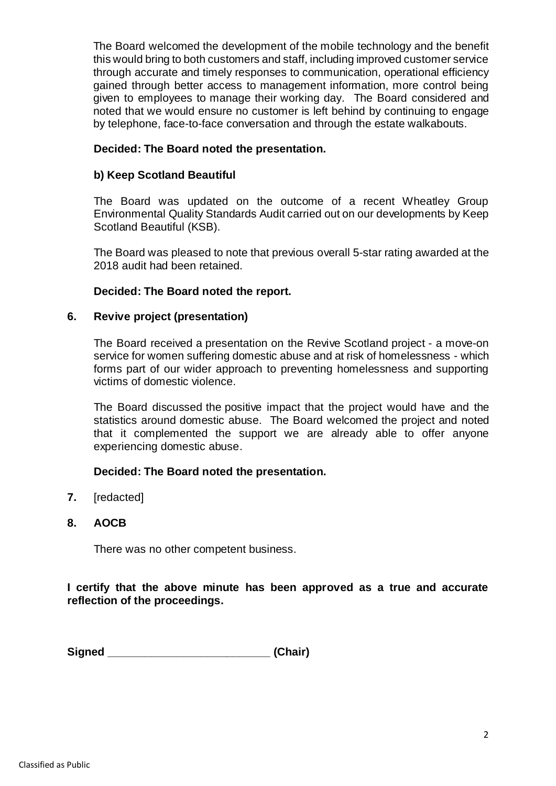The Board welcomed the development of the mobile technology and the benefit this would bring to both customers and staff, including improved customer service through accurate and timely responses to communication, operational efficiency gained through better access to management information, more control being given to employees to manage their working day. The Board considered and noted that we would ensure no customer is left behind by continuing to engage by telephone, face-to-face conversation and through the estate walkabouts.

### **Decided: The Board noted the presentation.**

## **b) Keep Scotland Beautiful**

The Board was updated on the outcome of a recent Wheatley Group Environmental Quality Standards Audit carried out on our developments by Keep Scotland Beautiful (KSB).

The Board was pleased to note that previous overall 5-star rating awarded at the 2018 audit had been retained.

## **Decided: The Board noted the report.**

#### **6. Revive project (presentation)**

The Board received a presentation on the Revive Scotland project - a move-on service for women suffering domestic abuse and at risk of homelessness - which forms part of our wider approach to preventing homelessness and supporting victims of domestic violence.

The Board discussed the positive impact that the project would have and the statistics around domestic abuse. The Board welcomed the project and noted that it complemented the support we are already able to offer anyone experiencing domestic abuse.

## **Decided: The Board noted the presentation.**

- **7.** [redacted]
- **8. AOCB**

There was no other competent business.

## **I certify that the above minute has been approved as a true and accurate reflection of the proceedings.**

**Signed \_\_\_\_\_\_\_\_\_\_\_\_\_\_\_\_\_\_\_\_\_\_\_\_\_\_ (Chair)**